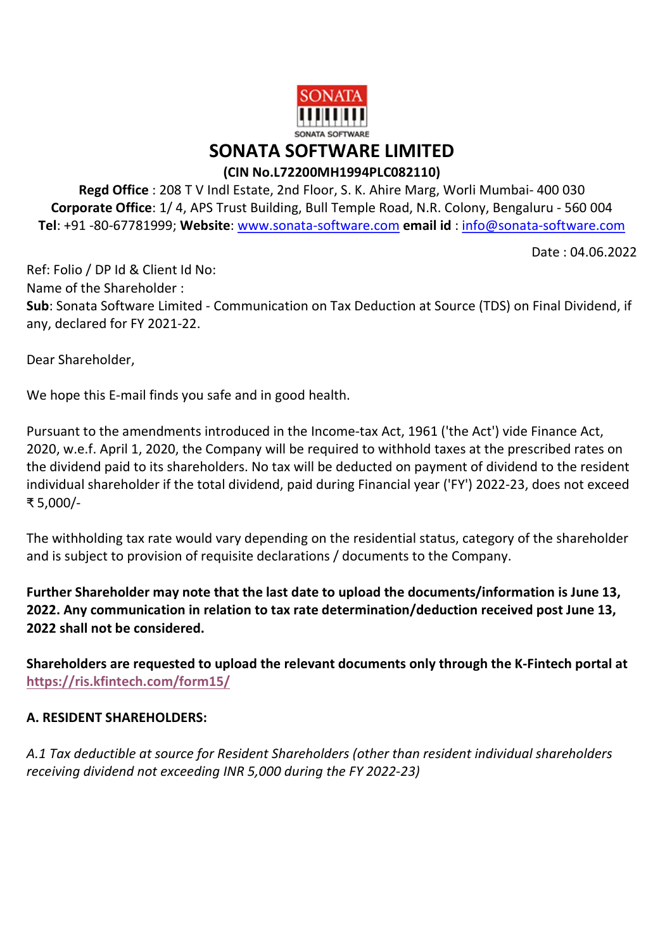

## SONATA SOFTWARE LIMITED

## (CIN No.L72200MH1994PLC082110)

Regd Office : 208 T V Indl Estate, 2nd Floor, S. K. Ahire Marg, Worli Mumbai- 400 030 Corporate Office: 1/ 4, APS Trust Building, Bull Temple Road, N.R. Colony, Bengaluru - 560 004 Tel: +91 -80-67781999; Website: www.sonata-software.com email id : info@sonata-software.com

Date : 04.06.2022

Ref: Folio / DP Id & Client Id No: Name of the Shareholder : Sub: Sonata Software Limited - Communication on Tax Deduction at Source (TDS) on Final Dividend, if any, declared for FY 2021-22.

Dear Shareholder,

We hope this E-mail finds you safe and in good health.

Pursuant to the amendments introduced in the Income-tax Act, 1961 ('the Act') vide Finance Act, 2020, w.e.f. April 1, 2020, the Company will be required to withhold taxes at the prescribed rates on the dividend paid to its shareholders. No tax will be deducted on payment of dividend to the resident individual shareholder if the total dividend, paid during Financial year ('FY') 2022-23, does not exceed ₹ 5,000/-

The withholding tax rate would vary depending on the residential status, category of the shareholder and is subject to provision of requisite declarations / documents to the Company.

Further Shareholder may note that the last date to upload the documents/information is June 13, 2022. Any communication in relation to tax rate determination/deduction received post June 13, 2022 shall not be considered.

Shareholders are requested to upload the relevant documents only through the K-Fintech portal at https://ris.kfintech.com/form15/

## A. RESIDENT SHAREHOLDERS:

A.1 Tax deductible at source for Resident Shareholders (other than resident individual shareholders receiving dividend not exceeding INR 5,000 during the FY 2022-23)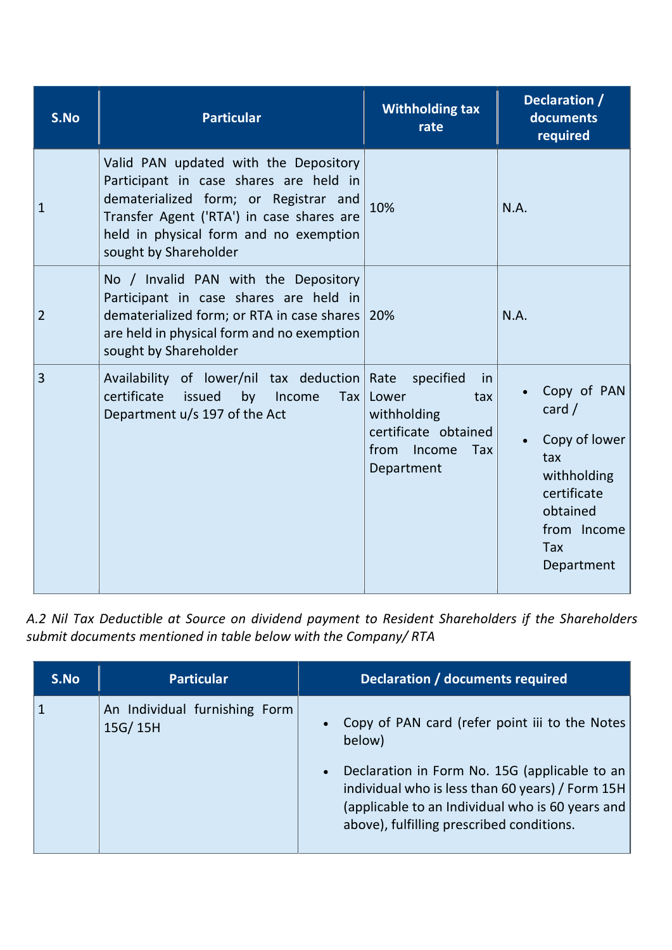| S.No           | <b>Particular</b>                                                                                                                                                                                                                        | <b>Withholding tax</b><br>rate                                                                                               | Declaration /<br>documents<br>required                                                                                               |  |
|----------------|------------------------------------------------------------------------------------------------------------------------------------------------------------------------------------------------------------------------------------------|------------------------------------------------------------------------------------------------------------------------------|--------------------------------------------------------------------------------------------------------------------------------------|--|
| 1              | Valid PAN updated with the Depository<br>Participant in case shares are held in<br>dematerialized form; or Registrar and<br>Transfer Agent ('RTA') in case shares are<br>held in physical form and no exemption<br>sought by Shareholder | 10%                                                                                                                          | N.A.                                                                                                                                 |  |
| $\overline{2}$ | No / Invalid PAN with the Depository<br>Participant in case shares are held in<br>dematerialized form; or RTA in case shares   20%<br>are held in physical form and no exemption<br>sought by Shareholder                                |                                                                                                                              | N.A.                                                                                                                                 |  |
| 3              | Availability of lower/nil tax deduction<br>certificate<br>issued<br>by<br>Income<br>Tax<br>Department u/s 197 of the Act                                                                                                                 | Rate<br>specified<br>in<br>Lower<br>tax<br>withholding<br>certificate obtained<br>Income<br>from<br><b>Tax</b><br>Department | Copy of PAN<br>card $/$<br>Copy of lower<br>tax<br>withholding<br>certificate<br>obtained<br>from Income<br><b>Tax</b><br>Department |  |

A.2 Nil Tax Deductible at Source on dividend payment to Resident Shareholders if the Shareholders submit documents mentioned in table below with the Company/ RTA

| S.No | <b>Particular</b>                        | Declaration / documents required                                                                                                                                                                                                                               |
|------|------------------------------------------|----------------------------------------------------------------------------------------------------------------------------------------------------------------------------------------------------------------------------------------------------------------|
|      | An Individual furnishing Form<br>15G/15H | Copy of PAN card (refer point iii to the Notes<br>below)<br>Declaration in Form No. 15G (applicable to an<br>individual who is less than 60 years) / Form 15H<br>(applicable to an Individual who is 60 years and<br>above), fulfilling prescribed conditions. |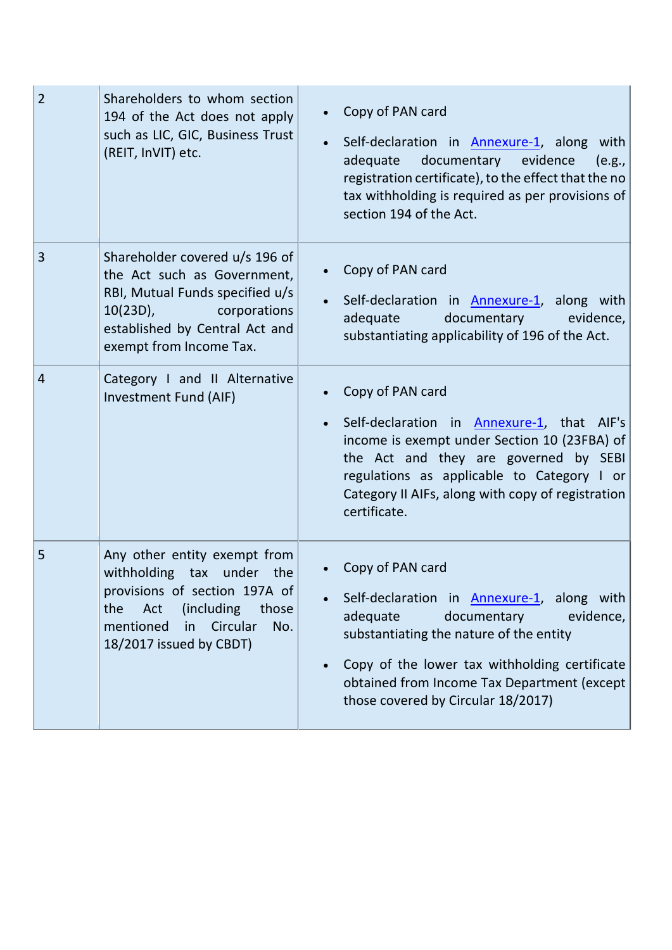| $\overline{2}$ | Shareholders to whom section<br>194 of the Act does not apply<br>such as LIC, GIC, Business Trust<br>(REIT, InVIT) etc.                                                                           | Copy of PAN card<br>Self-declaration in Annexure-1, along with<br>adequate documentary evidence<br>(e.g.,<br>registration certificate), to the effect that the no<br>tax withholding is required as per provisions of<br>section 194 of the Act.                                                             |
|----------------|---------------------------------------------------------------------------------------------------------------------------------------------------------------------------------------------------|--------------------------------------------------------------------------------------------------------------------------------------------------------------------------------------------------------------------------------------------------------------------------------------------------------------|
| 3              | Shareholder covered u/s 196 of<br>the Act such as Government,<br>RBI, Mutual Funds specified u/s<br>$10(23D)$ ,<br>corporations<br>established by Central Act and<br>exempt from Income Tax.      | Copy of PAN card<br>Self-declaration in Annexure-1, along with<br>documentary<br>adequate<br>evidence,<br>substantiating applicability of 196 of the Act.                                                                                                                                                    |
| $\overline{4}$ | Category I and II Alternative<br>Investment Fund (AIF)                                                                                                                                            | Copy of PAN card<br>Self-declaration in Annexure-1, that AIF's<br>income is exempt under Section 10 (23FBA) of<br>the Act and they are governed by SEBI<br>regulations as applicable to Category I or<br>Category II AIFs, along with copy of registration<br>certificate.                                   |
| 5              | Any other entity exempt from<br>withholding tax under the<br>provisions of section 197A of<br>(including)<br>Act<br>the<br>those<br>mentioned<br>Circular<br>in<br>No.<br>18/2017 issued by CBDT) | Copy of PAN card<br>Self-declaration in <b>Annexure-1</b> , along with<br>adequate<br>documentary<br>evidence,<br>substantiating the nature of the entity<br>Copy of the lower tax withholding certificate<br>$\bullet$<br>obtained from Income Tax Department (except<br>those covered by Circular 18/2017) |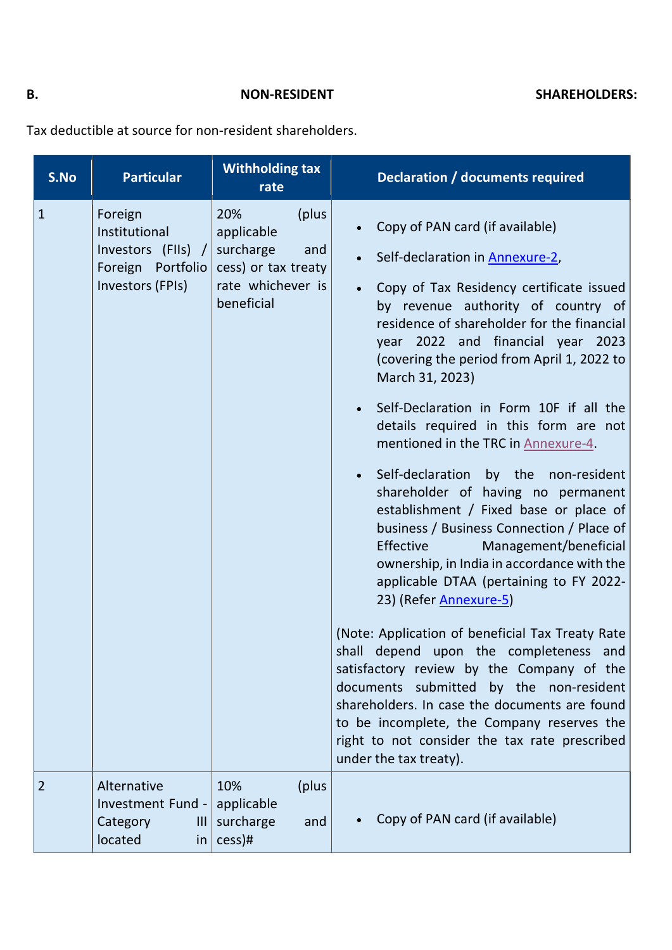Tax deductible at source for non-resident shareholders.

| S.No         | <b>Particular</b>                                                                       | <b>Withholding tax</b><br>rate                                                                            | <b>Declaration / documents required</b>                                                                                                                                                                                                                                                                                                                                                                                                                                                                                                                                                                                                                                                                                                                                                                                                                                                                                                                                                                                                                                                                                                   |
|--------------|-----------------------------------------------------------------------------------------|-----------------------------------------------------------------------------------------------------------|-------------------------------------------------------------------------------------------------------------------------------------------------------------------------------------------------------------------------------------------------------------------------------------------------------------------------------------------------------------------------------------------------------------------------------------------------------------------------------------------------------------------------------------------------------------------------------------------------------------------------------------------------------------------------------------------------------------------------------------------------------------------------------------------------------------------------------------------------------------------------------------------------------------------------------------------------------------------------------------------------------------------------------------------------------------------------------------------------------------------------------------------|
| $\mathbf{1}$ | Foreign<br>Institutional<br>Investors (FIIs) /<br>Foreign Portfolio<br>Investors (FPIs) | 20%<br>(plus)<br>applicable<br>surcharge<br>and<br>cess) or tax treaty<br>rate whichever is<br>beneficial | Copy of PAN card (if available)<br>Self-declaration in Annexure-2,<br>Copy of Tax Residency certificate issued<br>by revenue authority of country of<br>residence of shareholder for the financial<br>year 2022 and financial year 2023<br>(covering the period from April 1, 2022 to<br>March 31, 2023)<br>Self-Declaration in Form 10F if all the<br>details required in this form are not<br>mentioned in the TRC in Annexure-4.<br>Self-declaration by the non-resident<br>shareholder of having no permanent<br>establishment / Fixed base or place of<br>business / Business Connection / Place of<br>Effective<br>Management/beneficial<br>ownership, in India in accordance with the<br>applicable DTAA (pertaining to FY 2022-<br>23) (Refer <b>Annexure-5</b> )<br>(Note: Application of beneficial Tax Treaty Rate<br>shall depend upon the completeness and<br>satisfactory review by the Company of the<br>documents submitted by the non-resident<br>shareholders. In case the documents are found<br>to be incomplete, the Company reserves the<br>right to not consider the tax rate prescribed<br>under the tax treaty). |
| 2            | Alternative<br>Investment Fund -<br>Category<br>$\mathbf{III}$<br>located<br>in         | 10%<br>(plus<br>applicable<br>surcharge<br>and<br>cess)#                                                  | Copy of PAN card (if available)                                                                                                                                                                                                                                                                                                                                                                                                                                                                                                                                                                                                                                                                                                                                                                                                                                                                                                                                                                                                                                                                                                           |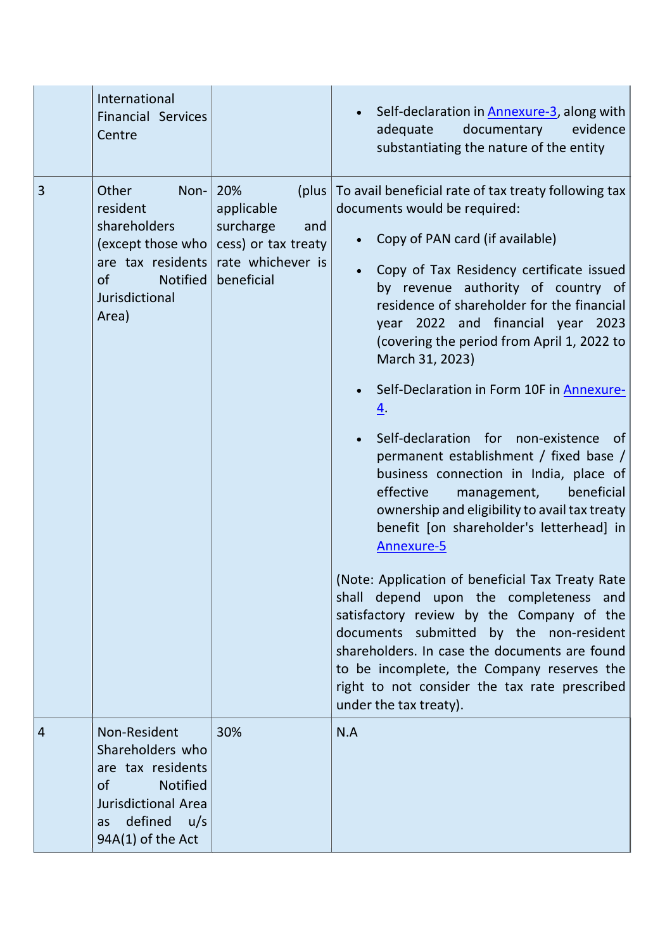|   | International<br><b>Financial Services</b><br>Centre                                                                                                   |                                                                                                           | Self-declaration in <b>Annexure-3</b> , along with<br>$\bullet$<br>documentary<br>evidence<br>adequate<br>substantiating the nature of the entity                                                                                                                                                                                                                                                                                                                                                                                                                                                                                                                                                                                                                                                                                                                                                                                                                                                                                                                                                        |
|---|--------------------------------------------------------------------------------------------------------------------------------------------------------|-----------------------------------------------------------------------------------------------------------|----------------------------------------------------------------------------------------------------------------------------------------------------------------------------------------------------------------------------------------------------------------------------------------------------------------------------------------------------------------------------------------------------------------------------------------------------------------------------------------------------------------------------------------------------------------------------------------------------------------------------------------------------------------------------------------------------------------------------------------------------------------------------------------------------------------------------------------------------------------------------------------------------------------------------------------------------------------------------------------------------------------------------------------------------------------------------------------------------------|
| 3 | Other<br>Non-<br>resident<br>shareholders<br>(except those who<br>are tax residents<br><b>Notified</b><br><b>of</b><br>Jurisdictional<br>Area)         | 20%<br>(plus)<br>applicable<br>surcharge<br>and<br>cess) or tax treaty<br>rate whichever is<br>beneficial | To avail beneficial rate of tax treaty following tax<br>documents would be required:<br>Copy of PAN card (if available)<br>Copy of Tax Residency certificate issued<br>$\bullet$<br>by revenue authority of country of<br>residence of shareholder for the financial<br>year 2022 and financial year 2023<br>(covering the period from April 1, 2022 to<br>March 31, 2023)<br>Self-Declaration in Form 10F in Annexure-<br>$\bullet$<br><u>4</u> .<br>Self-declaration for non-existence<br>of<br>permanent establishment / fixed base /<br>business connection in India, place of<br>beneficial<br>effective<br>management,<br>ownership and eligibility to avail tax treaty<br>benefit [on shareholder's letterhead] in<br>Annexure-5<br>(Note: Application of beneficial Tax Treaty Rate)<br>shall depend upon the completeness and<br>satisfactory review by the Company of the<br>documents submitted by the non-resident<br>shareholders. In case the documents are found<br>to be incomplete, the Company reserves the<br>right to not consider the tax rate prescribed<br>under the tax treaty). |
| 4 | Non-Resident<br>Shareholders who<br>are tax residents<br>of<br><b>Notified</b><br><b>Jurisdictional Area</b><br>defined u/s<br>as<br>94A(1) of the Act | 30%                                                                                                       | N.A                                                                                                                                                                                                                                                                                                                                                                                                                                                                                                                                                                                                                                                                                                                                                                                                                                                                                                                                                                                                                                                                                                      |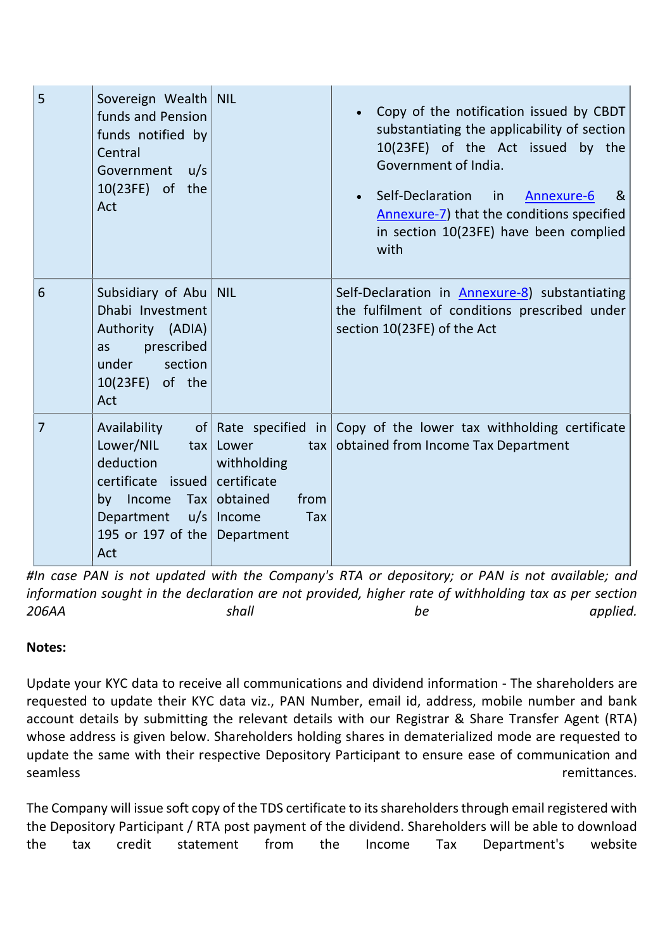| 5 | Sovereign Wealth   NIL<br>funds and Pension<br>funds notified by<br>Central<br>Government u/s<br>10(23FE) of the<br>Act                                              |                                                                   | Copy of the notification issued by CBDT<br>substantiating the applicability of section<br>10(23FE) of the Act issued by the<br>Government of India.<br>• Self-Declaration<br>in<br>Annexure-6<br>&<br>Annexure-7) that the conditions specified<br>in section 10(23FE) have been complied<br>with |
|---|----------------------------------------------------------------------------------------------------------------------------------------------------------------------|-------------------------------------------------------------------|---------------------------------------------------------------------------------------------------------------------------------------------------------------------------------------------------------------------------------------------------------------------------------------------------|
| 6 | Subsidiary of Abu   NIL<br>Dhabi Investment<br>Authority (ADIA)<br>prescribed<br>as<br>under section<br>10(23FE) of the<br>Act                                       |                                                                   | Self-Declaration in <b>Annexure-8</b> ) substantiating<br>the fulfilment of conditions prescribed under<br>section 10(23FE) of the Act                                                                                                                                                            |
| 7 | Availability<br>Lower/NIL<br>deduction<br>certificate issued certificate<br>by Income Tax obtained<br>Department $u/s$ Income<br>195 or 197 of the Department<br>Act | $\text{tax}$ Lower<br>$\frac{1}{2}$<br>withholding<br>from<br>Tax | of Rate specified in Copy of the lower tax withholding certificate<br>obtained from Income Tax Department                                                                                                                                                                                         |

#In case PAN is not updated with the Company's RTA or depository; or PAN is not available; and information sought in the declaration are not provided, higher rate of withholding tax as per section 206AA shall shall be applied.

## Notes:

Update your KYC data to receive all communications and dividend information - The shareholders are requested to update their KYC data viz., PAN Number, email id, address, mobile number and bank account details by submitting the relevant details with our Registrar & Share Transfer Agent (RTA) whose address is given below. Shareholders holding shares in dematerialized mode are requested to update the same with their respective Depository Participant to ensure ease of communication and seamless remittances.

The Company will issue soft copy of the TDS certificate to its shareholders through email registered with the Depository Participant / RTA post payment of the dividend. Shareholders will be able to download the tax credit statement from the Income Tax Department's website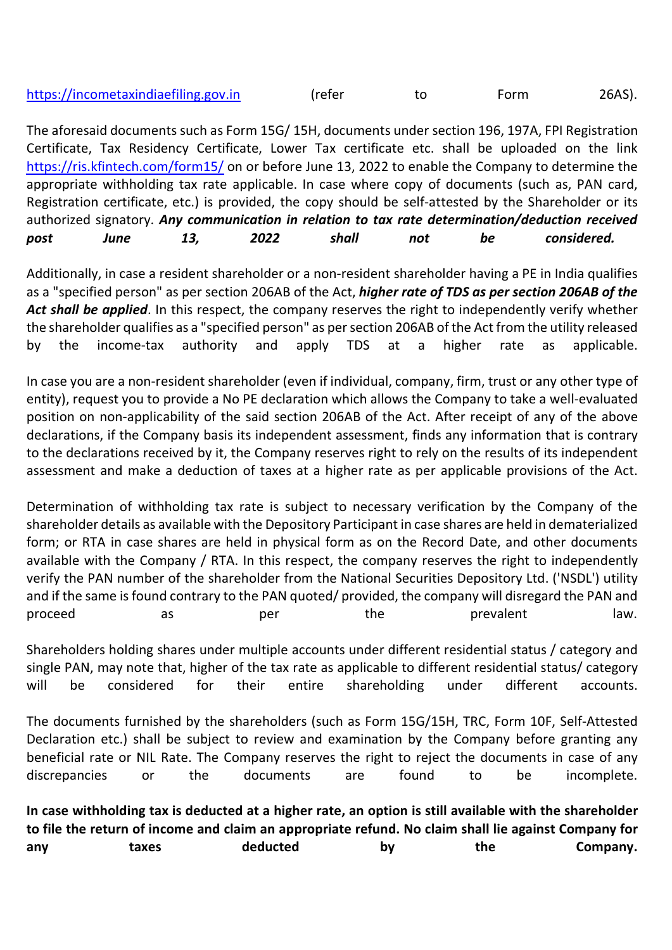| https://incometaxindiaefiling.gov.in | (refer |  | Form | 26AS). |
|--------------------------------------|--------|--|------|--------|
|--------------------------------------|--------|--|------|--------|

The aforesaid documents such as Form 15G/ 15H, documents under section 196, 197A, FPI Registration Certificate, Tax Residency Certificate, Lower Tax certificate etc. shall be uploaded on the link https://ris.kfintech.com/form15/ on or before June 13, 2022 to enable the Company to determine the appropriate withholding tax rate applicable. In case where copy of documents (such as, PAN card, Registration certificate, etc.) is provided, the copy should be self-attested by the Shareholder or its authorized signatory. Any communication in relation to tax rate determination/deduction received post *June 13*, 202*2* shall not be considered.

Additionally, in case a resident shareholder or a non-resident shareholder having a PE in India qualifies as a "specified person" as per section 206AB of the Act, higher rate of TDS as per section 206AB of the Act shall be applied. In this respect, the company reserves the right to independently verify whether the shareholder qualifies as a "specified person" as persection 206AB of the Act from the utility released by the income-tax authority and apply TDS at a higher rate as applicable.

In case you are a non-resident shareholder (even if individual, company, firm, trust or any other type of entity), request you to provide a No PE declaration which allows the Company to take a well-evaluated position on non-applicability of the said section 206AB of the Act. After receipt of any of the above declarations, if the Company basis its independent assessment, finds any information that is contrary to the declarations received by it, the Company reserves right to rely on the results of its independent assessment and make a deduction of taxes at a higher rate as per applicable provisions of the Act.

Determination of withholding tax rate is subject to necessary verification by the Company of the shareholder details as available with the Depository Participant in case shares are held in dematerialized form; or RTA in case shares are held in physical form as on the Record Date, and other documents available with the Company / RTA. In this respect, the company reserves the right to independently verify the PAN number of the shareholder from the National Securities Depository Ltd. ('NSDL') utility and if the same is found contrary to the PAN quoted/ provided, the company will disregard the PAN and proceed as per the prevalent law.

Shareholders holding shares under multiple accounts under different residential status / category and single PAN, may note that, higher of the tax rate as applicable to different residential status/ category will be considered for their entire shareholding under different accounts.

The documents furnished by the shareholders (such as Form 15G/15H, TRC, Form 10F, Self-Attested Declaration etc.) shall be subject to review and examination by the Company before granting any beneficial rate or NIL Rate. The Company reserves the right to reject the documents in case of any discrepancies or the documents are found to be incomplete.

In case withholding tax is deducted at a higher rate, an option is still available with the shareholder to file the return of income and claim an appropriate refund. No claim shall lie against Company for any taxes deducted by the Company.